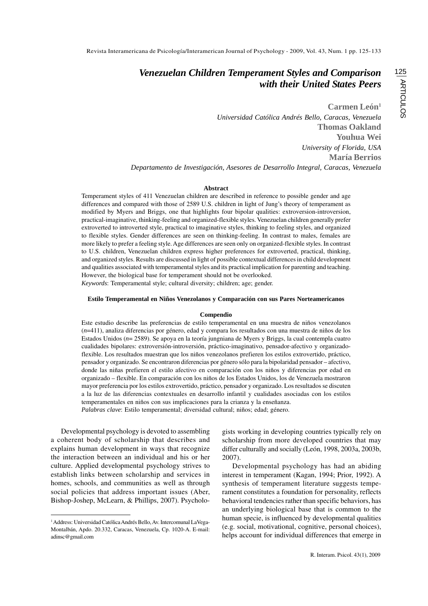**Carmen León1**

*Universidad Católica Andrés Bello, Caracas, Venezuela* **Thomas Oakland Youhua Wei** *University of Florida, USA* **María Berrios** *Departamento de Investigación, Asesores de Desarrollo Integral, Caracas, Venezuela*

### **Abstract**

Temperament styles of 411 Venezuelan children are described in reference to possible gender and age differences and compared with those of 2589 U.S. children in light of Jung's theory of temperament as modified by Myers and Briggs, one that highlights four bipolar qualities: extroversion-introversion, practical-imaginative, thinking-feeling and organized-flexible styles. Venezuelan children generally prefer extroverted to introverted style, practical to imaginative styles, thinking to feeling styles, and organized to flexible styles. Gender differences are seen on thinking-feeling. In contrast to males, females are more likely to prefer a feeling style. Age differences are seen only on organized-flexible styles. In contrast to U.S. children, Venezuelan children express higher preferences for extroverted, practical, thinking, and organized styles. Results are discussed in light of possible contextual differences in child development and qualities associated with temperamental styles and its practical implication for parenting and teaching. However, the biological base for temperament should not be overlooked.

*Keywords*: Temperamental style; cultural diversity; children; age; gender.

#### **Estilo Temperamental en Niños Venezolanos y Comparación con sus Pares Norteamericanos**

#### **Compendio**

Este estudio describe las preferencias de estilo temperamental en una muestra de niños venezolanos (*n*=411), analiza diferencias por género, edad y compara los resultados con una muestra de niños de los Estados Unidos (*n*= 2589). Se apoya en la teoría jungniana de Myers y Briggs, la cual contempla cuatro cualidades bipolares: extroversión-introversión, práctico-imaginativo, pensador-afectivo y organizadoflexible. Los resultados muestran que los niños venezolanos prefieren los estilos extrovertido, práctico, pensador y organizado. Se encontraron diferencias por género sólo para la bipolaridad pensador – afectivo, donde las niñas prefieren el estilo afectivo en comparación con los niños y diferencias por edad en organizado – flexible. En comparación con los niños de los Estados Unidos, los de Venezuela mostraron mayor preferencia por los estilos extrovertido, práctico, pensador y organizado. Los resultados se discuten a la luz de las diferencias contextuales en desarrollo infantil y cualidades asociadas con los estilos temperamentales en niños con sus implicaciones para la crianza y la enseñanza. *Palabras clave*: Estilo temperamental; diversidad cultural; niños; edad; género.

Developmental psychology is devoted to assembling a coherent body of scholarship that describes and explains human development in ways that recognize the interaction between an individual and his or her culture. Applied developmental psychology strives to establish links between scholarship and services in homes, schools, and communities as well as through social policies that address important issues (Aber, Bishop-Joshep, McLearn, & Phillips, 2007). Psychologists working in developing countries typically rely on scholarship from more developed countries that may differ culturally and socially (León, 1998, 2003a, 2003b, 2007).

Developmental psychology has had an abiding interest in temperament (Kagan, 1994; Prior, 1992). A synthesis of temperament literature suggests temperament constitutes a foundation for personality, reflects behavioral tendencies rather than specific behaviors, has an underlying biological base that is common to the human specie, is influenced by developmental qualities (e.g. social, motivational, cognitive, personal choices), helps account for individual differences that emerge in

<sup>&</sup>lt;sup>1</sup> Address: Universidad Católica Andrés Bello, Av. Intercomunal LaVega-Montalbán, Apdo. 20.332, Caracas, Venezuela, Cp. 1020-A. E-mail: adinsc@gmail.com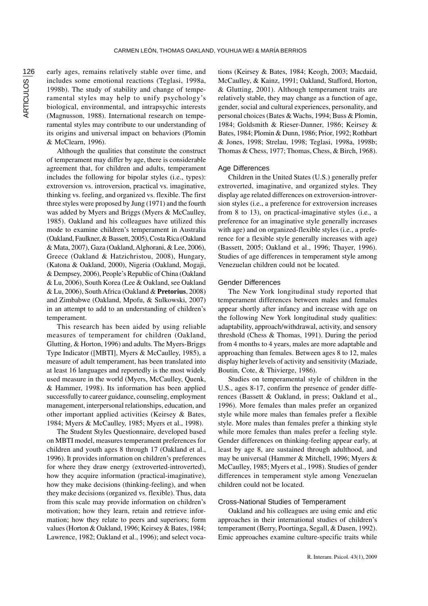early ages, remains relatively stable over time, and includes some emotional reactions (Teglasi, 1998a, 1998b). The study of stability and change of temperamental styles may help to unify psychology's biological, environmental, and intrapsychic interests (Magnusson, 1988). International research on temperamental styles may contribute to our understanding of its origins and universal impact on behaviors (Plomin & McClearn, 1996).

Although the qualities that constitute the construct of temperament may differ by age, there is considerable agreement that, for children and adults, temperament includes the following for bipolar styles (i.e., types): extroversion vs. introversion, practical vs. imaginative, thinking vs. feeling, and organized vs. flexible. The first three styles were proposed by Jung (1971) and the fourth was added by Myers and Briggs (Myers & McCaulley, 1985). Oakland and his colleagues have utilized this mode to examine children's temperament in Australia (Oakland, Faulkner, & Bassett, 2005), Costa Rica (Oakland & Mata, 2007), Gaza (Oakland, Alghorani, & Lee, 2006), Greece (Oakland & Hatzichristou, 2008), Hungary, (Katona & Oakland, 2000), Nigeria (Oakland, Mogaji, & Dempsey, 2006), People's Republic of China (Oakland & Lu, 2006), South Korea (Lee & Oakland, see Oakland & Lu, 2006), South Africa (Oakland & **Pretorius**, 2008) and Zimbabwe (Oakland, Mpofu, & Sulkowski, 2007) in an attempt to add to an understanding of children's temperament.

This research has been aided by using reliable measures of temperament for children (Oakland, Glutting, & Horton, 1996) and adults. The Myers-Briggs Type Indicator ([MBTI], Myers & McCaulley, 1985), a measure of adult temperament, has been translated into at least 16 languages and reportedly is the most widely used measure in the world (Myers, McCaulley, Quenk, & Hammer, 1998). Its information has been applied successfully to career guidance, counseling, employment management, interpersonal relationships, education, and other important applied activities (Keirsey & Bates, 1984; Myers & McCaulley, 1985; Myers et al., 1998).

The Student Styles Questionnaire, developed based on MBTI model, measures temperament preferences for children and youth ages 8 through 17 (Oakland et al., 1996). It provides information on children's preferences for where they draw energy (extroverted-introverted), how they acquire information (practical-imaginative), how they make decisions (thinking-feeling), and when they make decisions (organized vs. flexible). Thus, data from this scale may provide information on children's motivation; how they learn, retain and retrieve information; how they relate to peers and superiors; form values (Horton & Oakland, 1996; Keirsey & Bates, 1984; Lawrence, 1982; Oakland et al., 1996); and select vocations (Keirsey & Bates, 1984; Keogh, 2003; Macdaid, McCaulley, & Kainz, 1991; Oakland, Stafford, Horton, & Glutting, 2001). Although temperament traits are relatively stable, they may change as a function of age, gender, social and cultural experiences, personality, and personal choices (Bates & Wachs, 1994; Buss & Plomin, 1984; Goldsmith & Rieser-Danner, 1986; Keirsey & Bates, 1984; Plomin & Dunn, 1986; Prior, 1992; Rothbart & Jones, 1998; Strelau, 1998; Teglasi, 1998a, 1998b; Thomas & Chess, 1977; Thomas, Chess, & Birch, 1968).

# Age Differences

Children in the United States (U.S.) generally prefer extroverted, imaginative, and organized styles. They display age related differences on extroversion-introversion styles (i.e., a preference for extroversion increases from 8 to 13), on practical-imaginative styles (i.e., a preference for an imaginative style generally increases with age) and on organized-flexible styles (i.e., a preference for a flexible style generally increases with age) (Bassett, 2005; Oakland et al., 1996; Thayer, 1996). Studies of age differences in temperament style among Venezuelan children could not be located.

#### Gender Differences

The New York longitudinal study reported that temperament differences between males and females appear shortly after infancy and increase with age on the following New York longitudinal study qualities: adaptability, approach/withdrawal, activity, and sensory threshold (Chess & Thomas, 1991). During the period from 4 months to 4 years, males are more adaptable and approaching than females. Between ages 8 to 12, males display higher levels of activity and sensitivity (Maziade, Boutin, Cote, & Thivierge, 1986).

Studies on temperamental style of children in the U.S., ages 8-17, confirm the presence of gender differences (Bassett & Oakland, in press; Oakland et al., 1996). More females than males prefer an organized style while more males than females prefer a flexible style. More males than females prefer a thinking style while more females than males prefer a feeling style. Gender differences on thinking-feeling appear early, at least by age 8, are sustained through adulthood, and may be universal (Hammer & Mitchell, 1996; Myers & McCaulley, 1985; Myers et al., 1998). Studies of gender differences in temperament style among Venezuelan children could not be located.

#### Cross-National Studies of Temperament

Oakland and his colleagues are using emic and etic approaches in their international studies of children's temperament (Berry, Poortinga, Segall, & Dasen, 1992). Emic approaches examine culture-specific traits while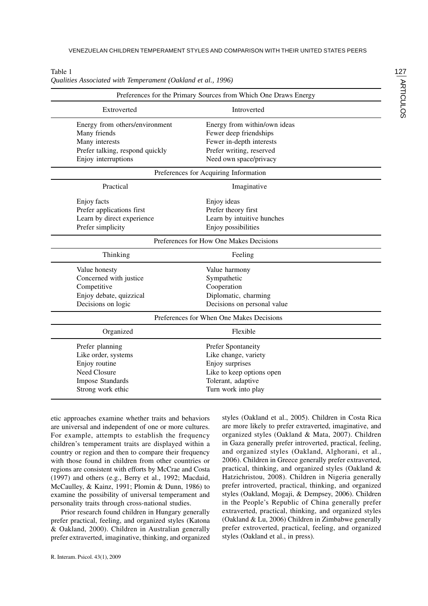|                                         | Preferences for the Primary Sources from Which One Draws Energy |  |  |  |  |  |  |  |  |  |  |
|-----------------------------------------|-----------------------------------------------------------------|--|--|--|--|--|--|--|--|--|--|
| Extroverted                             | Introverted                                                     |  |  |  |  |  |  |  |  |  |  |
| Energy from others/environment          | Energy from within/own ideas                                    |  |  |  |  |  |  |  |  |  |  |
| Many friends                            | Fewer deep friendships                                          |  |  |  |  |  |  |  |  |  |  |
| Many interests                          | Fewer in-depth interests                                        |  |  |  |  |  |  |  |  |  |  |
| Prefer talking, respond quickly         | Prefer writing, reserved                                        |  |  |  |  |  |  |  |  |  |  |
| Enjoy interruptions                     | Need own space/privacy                                          |  |  |  |  |  |  |  |  |  |  |
| Preferences for Acquiring Information   |                                                                 |  |  |  |  |  |  |  |  |  |  |
| Practical                               | Imaginative                                                     |  |  |  |  |  |  |  |  |  |  |
| Enjoy facts                             | Enjoy ideas                                                     |  |  |  |  |  |  |  |  |  |  |
| Prefer applications first               | Prefer theory first                                             |  |  |  |  |  |  |  |  |  |  |
| Learn by direct experience              | Learn by intuitive hunches                                      |  |  |  |  |  |  |  |  |  |  |
| Prefer simplicity                       | Enjoy possibilities                                             |  |  |  |  |  |  |  |  |  |  |
| Preferences for How One Makes Decisions |                                                                 |  |  |  |  |  |  |  |  |  |  |
| Thinking                                | Feeling                                                         |  |  |  |  |  |  |  |  |  |  |
| Value honesty                           | Value harmony                                                   |  |  |  |  |  |  |  |  |  |  |
| Concerned with justice                  | Sympathetic                                                     |  |  |  |  |  |  |  |  |  |  |
| Competitive                             | Cooperation                                                     |  |  |  |  |  |  |  |  |  |  |
| Enjoy debate, quizzical                 | Diplomatic, charming                                            |  |  |  |  |  |  |  |  |  |  |
| Decisions on logic                      | Decisions on personal value                                     |  |  |  |  |  |  |  |  |  |  |
|                                         | Preferences for When One Makes Decisions                        |  |  |  |  |  |  |  |  |  |  |
| Organized                               | Flexible                                                        |  |  |  |  |  |  |  |  |  |  |
| Prefer planning                         | Prefer Spontaneity                                              |  |  |  |  |  |  |  |  |  |  |
| Like order, systems                     | Like change, variety                                            |  |  |  |  |  |  |  |  |  |  |
| Enjoy routine                           | Enjoy surprises                                                 |  |  |  |  |  |  |  |  |  |  |
| Need Closure                            | Like to keep options open                                       |  |  |  |  |  |  |  |  |  |  |
| <b>Impose Standards</b>                 | Tolerant, adaptive                                              |  |  |  |  |  |  |  |  |  |  |
| Strong work ethic                       | Turn work into play                                             |  |  |  |  |  |  |  |  |  |  |

Table 1 *Qualities Associated with Temperament (Oakland et al., 1996)*

etic approaches examine whether traits and behaviors are universal and independent of one or more cultures. For example, attempts to establish the frequency children's temperament traits are displayed within a country or region and then to compare their frequency with those found in children from other countries or regions are consistent with efforts by McCrae and Costa (1997) and others (e.g., Berry et al., 1992; Macdaid, McCaulley, & Kainz, 1991; Plomin & Dunn, 1986) to examine the possibility of universal temperament and personality traits through cross-national studies.

Prior research found children in Hungary generally prefer practical, feeling, and organized styles (Katona & Oakland, 2000). Children in Australian generally prefer extraverted, imaginative, thinking, and organized styles (Oakland et al., 2005). Children in Costa Rica are more likely to prefer extraverted, imaginative, and organized styles (Oakland & Mata, 2007). Children in Gaza generally prefer introverted, practical, feeling, and organized styles (Oakland, Alghorani, et al., 2006). Children in Greece generally prefer extraverted, practical, thinking, and organized styles (Oakland & Hatzichristou, 2008). Children in Nigeria generally prefer introverted, practical, thinking, and organized styles (Oakland, Mogaji, & Dempsey, 2006). Children in the People's Republic of China generally prefer extraverted, practical, thinking, and organized styles (Oakland & Lu, 2006) Children in Zimbabwe generally prefer extroverted, practical, feeling, and organized styles (Oakland et al., in press).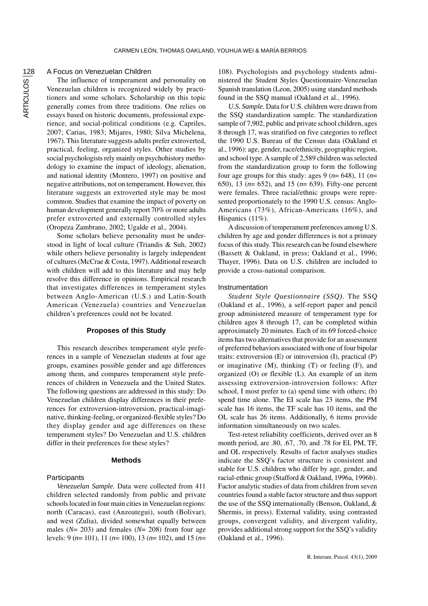# A Focus on Venezuelan Children

The influence of temperament and personality on Venezuelan children is recognized widely by practitioners and some scholars. Scholarship on this topic generally comes from three traditions. One relies on essays based on historic documents, professional experience, and social-political conditions (e.g. Capriles, 2007; Carias, 1983; Mijares, 1980; Silva Michelena, 1967)*.* This literature suggests adults prefer extroverted, practical, feeling, organized styles. Other studies by social psychologists rely mainly on psychohistory methodology to examine the impact of ideology, alienation, and national identity (Montero, 1997) on positive and negative attributions, not on temperament. However, this literature suggests an extroverted style may be most common. Studies that examine the impact of poverty on human development generally report 70% or more adults prefer extroverted and externally controlled styles (Oropeza Zambrano, 2002; Ugalde et al., 2004).

Some scholars believe personality must be understood in light of local culture (Triandis & Suh, 2002) while others believe personality is largely independent of cultures (McCrae & Costa, 1997). Additional research with children will add to this literature and may help resolve this difference in opinions. Empirical research that investigates differences in temperament styles between Anglo-American (U.S.) and Latin-South American (Venezuela) countries and Venezuelan children's preferences could not be located.

## **Proposes of this Study**

This research describes temperament style preferences in a sample of Venezuelan students at four age groups, examines possible gender and age differences among them, and compares temperament style preferences of children in Venezuela and the United States. The following questions are addressed in this study: Do Venezuelan children display differences in their preferences for extroversion-introversion, practical-imaginative, thinking-feeling, or organized-flexible styles? Do they display gender and age differences on these temperament styles? Do Venezuelan and U.S. children differ in their preferences for these styles?

## **Methods**

# **Participants**

*Venezuelan Sample.* Data were collected from 411 children selected randomly from public and private schools located in four main cities in Venezuelan regions: north (Caracas), east (Anzoategui), south (Bolivar), and west (Zulia), divided somewhat equally between males (*N*= 203) and females (*N*= 208) from four age levels: 9 (*n*= 101), 11 (*n*= 100), 13 (*n*= 102), and 15 (*n*=

108). Psychologists and psychology students administered the Student Styles Questionnaire-Venezuelan Spanish translation (Leon, 2005) using standard methods found in the SSQ manual (Oakland et al., 1996).

*U.S. Sample.* Data for U.S. children were drawn from the SSQ standardization sample. The standardization sample of 7,902, public and private school children, ages 8 through 17, was stratified on five categories to reflect the 1990 U.S. Bureau of the Census data (Oakland et al., 1996): age, gender, race/ethnicity, geographic region, and school type. A sample of 2,589 children was selected from the standardization group to form the following four age groups for this study: ages 9 (*n*= 648), 11 (*n*= 650), 13 (*n*= 652), and 15 (*n*= 639). Fifty-one percent were females. Three racial/ethnic groups were represented proportionately to the 1990 U.S. census: Anglo-Americans (73%), African-Americans (16%), and Hispanics (11%).

A discussion of temperament preferences among U.S. children by age and gender differences is not a primary focus of this study. This research can be found elsewhere (Bassett & Oakland, in press; Oakland et al., 1996; Thayer, 1996). Data on U.S. children are included to provide a cross-national comparison.

## Instrumentation

*Student Style Questionnaire (SSQ).* The SSQ (Oakland et al., 1996), a self-report paper and pencil group administered measure of temperament type for children ages 8 through 17, can be completed within approximately 20 minutes. Each of its 69 forced-choice items has two alternatives that provide for an assessment of preferred behaviors associated with one of four bipolar traits: extroversion (E) or introversion (I), practical (P) or imaginative (M), thinking (T) or feeling (F), and organized (O) or flexible (L). An example of an item assessing extroversion-introversion follows: After school, I most prefer to (a) spend time with others; (b) spend time alone. The EI scale has 23 items, the PM scale has 16 items, the TF scale has 10 items, and the OL scale has 26 items. Additionally, 6 items provide information simultaneously on two scales.

Test-retest reliability coefficients, derived over an 8 month period, are .80, .67, .70, and .78 for EI, PM, TF, and OL respectively. Results of factor analyses studies indicate the SSQ's factor structure is consistent and stable for U.S. children who differ by age, gender, and racial-ethnic group (Stafford & Oakland, 1996a, 1996b). Factor analytic studies of data from children from seven countries found a stable factor structure and thus support the use of the SSQ internationally (Benson, Oakland, & Shermis, in press). External validity, using contrasted groups, convergent validity, and divergent validity, provides additional strong support for the SSQ's validity (Oakland et al., 1996).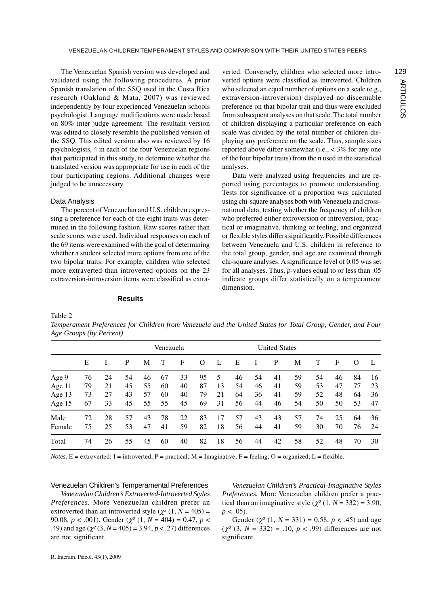The Venezuelan Spanish version was developed and validated using the following procedures. A prior Spanish translation of the SSQ used in the Costa Rica research (Oakland & Mata, 2007) was reviewed independently by four experienced Venezuelan schools psychologist. Language modifications were made based on 80% inter judge agreement. The resultant version was edited to closely resemble the published version of the SSQ. This edited version also was reviewed by 16 psychologists, 4 in each of the four Venezuelan regions that participated in this study, to determine whether the translated version was appropriate for use in each of the four participating regions. Additional changes were judged to be unnecessary.

## Data Analysis

The percent of Venezuelan and U.S. children expressing a preference for each of the eight traits was determined in the following fashion. Raw scores rather than scale scores were used. Individual responses on each of the 69 items were examined with the goal of determining whether a student selected more options from one of the two bipolar traits. For example, children who selected more extraverted than introverted options on the 23 extraversion-introversion items were classified as extraverted. Conversely, children who selected more introverted options were classified as introverted. Children who selected an equal number of options on a scale (e.g., extraversion-introversion) displayed no discernable preference on that bipolar trait and thus were excluded from subsequent analyses on that scale. The total number of children displaying a particular preference on each scale was divided by the total number of children displaying any preference on the scale. Thus, sample sizes reported above differ somewhat (i.e., < 3% for any one of the four bipolar traits) from the *n* used in the statistical analyses.

Data were analyzed using frequencies and are reported using percentages to promote understanding. Tests for significance of a proportion was calculated using chi-square analyses both with Venezuela and crossnational data, testing whether the frequency of children who preferred either extroversion or introversion, practical or imaginative, thinking or feeling, and organized or flexible styles differs significantly. Possible differences between Venezuela and U.S. children in reference to the total group, gender, and age are examined through chi-square analyses. A significance level of 0.05 was set for all analyses. Thus, *p*-values equal to or less than .05 indicate groups differ statistically on a temperament dimension.

#### **Results**

Table 2

*Temperament Preferences for Children from Venezuela and the United States for Total Group, Gender, and Four Age Groups (by Percent)*

|        |    |    |    |    | Venezuela |    |    | <b>United States</b> |    |    |    |    |    |    |    |    |
|--------|----|----|----|----|-----------|----|----|----------------------|----|----|----|----|----|----|----|----|
|        | E  |    | P  | M  |           | F  | O  | L                    | Е  |    | P  | М  | Т  | F  | O  | L  |
| Age 9  | 76 | 24 | 54 | 46 | 67        | 33 | 95 | 5                    | 46 | 54 | 41 | 59 | 54 | 46 | 84 | 16 |
| Age 11 | 79 | 21 | 45 | 55 | 60        | 40 | 87 | 13                   | 54 | 46 | 41 | 59 | 53 | 47 | 77 | 23 |
| Age 13 | 73 | 27 | 43 | 57 | 60        | 40 | 79 | 21                   | 64 | 36 | 41 | 59 | 52 | 48 | 64 | 36 |
| Age 15 | 67 | 33 | 45 | 55 | 55        | 45 | 69 | 31                   | 56 | 44 | 46 | 54 | 50 | 50 | 53 | 47 |
| Male   | 72 | 28 | 57 | 43 | 78        | 22 | 83 | 17                   | 57 | 43 | 43 | 57 | 74 | 25 | 64 | 36 |
| Female | 75 | 25 | 53 | 47 | 41        | 59 | 82 | 18                   | 56 | 44 | 41 | 59 | 30 | 70 | 76 | 24 |
| Total  | 74 | 26 | 55 | 45 | 60        | 40 | 82 | 18                   | 56 | 44 | 42 | 58 | 52 | 48 | 70 | 30 |

*Notes*. E = extroverted; I = introverted; P = practical; M = Imaginative; F = feeling; O = organized; L = flexible.

## Venezuelan Children's Temperamental Preferences

*Venezuelan Children's Extroverted-Introverted Styles Preferences.* More Venezuelan children prefer an extroverted than an introverted style  $(\chi^2(1, N = 405))$  = 90.08,  $p < .001$ ). Gender ( $\chi^2$  (1,  $N = 404$ ) = 0.47,  $p <$ .49) and age  $(\chi^2(3, N = 405) = 3.94, p < .27)$  differences are not significant.

*Venezuelan Children's Practical-Imaginative Styles Preferences.* More Venezuelan children prefer a practical than an imaginative style  $(\chi^2(1, N = 332) = 3.90,$  $p < .05$ ).

Gender  $(\chi^2 (1, N = 331) = 0.58, p < .45)$  and age  $(\chi^2 (3, N = 332) = .10, p < .99)$  differences are not significant.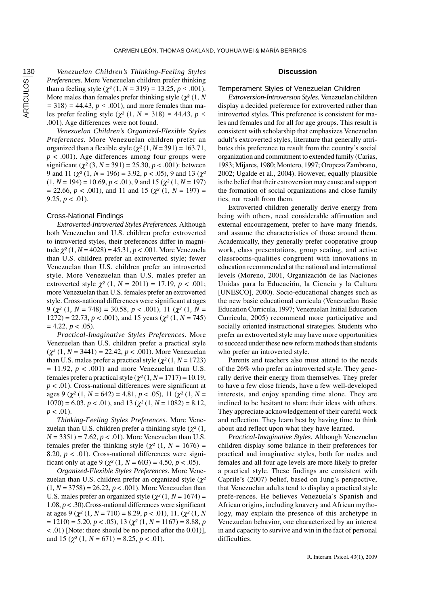*Venezuelan Children's Thinking-Feeling Styles Preferences.* More Venezuelan children prefer thinking than a feeling style  $(\chi^2 (1, N = 319) = 13.25, p < .001)$ . More males than females prefer thinking style  $(\chi^2(1, N))$ *=* 318) *=* 44.43, *p <* .001), and more females than males prefer feeling style  $(\chi^2 (1, N = 318) = 44.43, p <$ .001). Age differences were not found.

*Venezuelan Children's Organized-Flexible Styles Preferences.* More Venezuelan children prefer an organized than a flexible style  $(\chi^2(1, N=391) = 163.71)$ ,  $p < .001$ ). Age differences among four groups were significant  $(\chi^2 (3, N = 391) = 25.30, p < .001)$ : between 9 and 11 ( $\chi^2$  (1,  $N = 196$ ) = 3.92,  $p < .05$ ), 9 and 13 ( $\chi^2$ )  $(1, N = 194) = 10.69, p < .01$ , 9 and 15 ( $\chi^2$  (1, *N* = 197)  $= 22.66, p < .001$ , and 11 and 15 ( $\chi^2$  (1, *N* = 197) = 9.25,  $p < .01$ ).

# Cross-National Findings

*Extroverted-Introverted Styles Preferences.* Although both Venezuelan and U.S. children prefer extroverted to introverted styles, their preferences differ in magnitude χ*²* (1*, N* = 4028) = 45.31, *p* < .001. More Venezuela than U.S. children prefer an extroverted style; fewer Venezuelan than U.S. children prefer an introverted style. More Venezuelan than U.S. males prefer an extroverted style  $\chi^2$  (1,  $N = 2011$ ) = 17.19,  $p < .001$ ; more Venezuelan than U.S. females prefer an extroverted style. Cross-national differences were significant at ages 9 ( $\chi^2$  (1,  $N = 748$ ) = 30.58,  $p < .001$ ), 11 ( $\chi^2$  (1,  $N =$ 1272) = 22.73, *p* < .001), and 15 years (χ*²* (1*, N* = 745)  $= 4.22, p < .05$ ).

*Practical-Imaginative Styles Preferences.* More Venezuelan than U.S. children prefer a practical style (χ*²* (1*, N* = 3441) = 22.42, *p* < .001). More Venezuelan than U.S. males prefer a practical style ( $\chi^2$  (1*, N* = 1723)  $= 11.92, p < .001$ ) and more Venezuelan than U.S. females prefer a practical style  $(\chi^2(1, N = 1717) = 10.19$ , *p* < .01). Cross-national differences were significant at ages 9 (χ*²* (1*, N* = 642) = 4.81, *p* < .05), 11 (χ*²* (1*, N* =  $1070$ ) = 6.03,  $p < .01$ ), and 13 ( $\chi^2$  (1,  $N = 1082$ ) = 8.12,  $p < .01$ ).

*Thinking-Feeling Styles Preferences*. More Venezuelan than U.S. children prefer a thinking style (χ*²* (1*, N* = 3351) = 7.62, *p* < .01). More Venezuelan than U.S. females prefer the thinking style ( $\chi^2$  (1,  $N = 1676$ ) = 8.20,  $p < .01$ ). Cross-national differences were significant only at age 9 ( $\gamma^2$  (1,  $N = 603$ ) = 4.50,  $p < .05$ ).

*Organized-Flexible Styles Preferences.* More Venezuelan than U.S. children prefer an organized style (χ*²*  $(1, N = 3758) = 26.22, p < .001$ ). More Venezuelan than U.S. males prefer an organized style ( $\chi^2$  (1*, N* = 1674) = 1.08,  $p < .30$ ). Cross-national differences were significant at ages 9 (χ*²* (1*, N* = 710) = 8.29, *p* < .01), 11, (χ*²* (1*, N*  $= 1210$ ) = 5.20, *p* < .05), 13 ( $\chi^2$  (1, *N* = 1167) = 8.88, *p* < .01) [Note: there should be no period after the 0.01)], and 15 ( $\chi^2$  (1,  $N = 671$ ) = 8.25,  $p < .01$ ).

# **Discussion**

### Temperament Styles of Venezuelan Children

*Extroversion-Introversion Styles.* Venezuelan children display a decided preference for extroverted rather than introverted styles. This preference is consistent for males and females and for all for age groups. This result is consistent with scholarship that emphasizes Venezuelan adult's extroverted styles, literature that generally attributes this preference to result from the country's social organization and commitment to extended family (Carias, 1983; Mijares, 1980; Montero, 1997; Oropeza Zambrano, 2002; Ugalde et al., 2004). However, equally plausible is the belief that their extroversion may cause and support the formation of social organizations and close family ties, not result from them.

Extroverted children generally derive energy from being with others, need considerable affirmation and external encouragement, prefer to have many friends, and assume the characteristics of those around them. Academically, they generally prefer cooperative group work, class presentations, group seating, and active classrooms-qualities congruent with innovations in education recommended at the national and international levels (Moreno, 2001, Organización de las Naciones Unidas para la Educación, la Ciencia y la Cultura [UNESCO], 2000). Socio-educational changes such as the new basic educational curricula (Venezuelan Basic Education Curricula, 1997; Venezuelan Initial Education Curricula, 2005) recommend more participative and socially oriented instructional strategies. Students who prefer an extroverted style may have more opportunities to succeed under these new reform methods than students who prefer an introverted style.

Parents and teachers also must attend to the needs of the 26% who prefer an introverted style. They generally derive their energy from themselves. They prefer to have a few close friends, have a few well-developed interests, and enjoy spending time alone. They are inclined to be hesitant to share their ideas with others. They appreciate acknowledgement of their careful work and reflection. They learn best by having time to think about and reflect upon what they have learned.

*Practical-Imaginative Styles.* Although Venezuelan children display some balance in their preferences for practical and imaginative styles, both for males and females and all four age levels are more likely to prefer a practical style. These findings are consistent with Caprile's (2007) belief, based on Jung's perspective, that Venezuelan adults tend to display a practical style prefe-rences. He believes Venezuela's Spanish and African origins, including knavery and African mythology, may explain the presence of this archetype in Venezuelan behavior, one characterized by an interest in and capacity to survive and win in the fact of personal difficulties.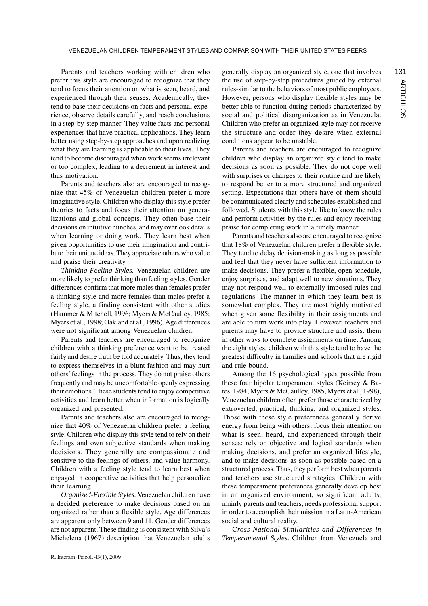Parents and teachers working with children who prefer this style are encouraged to recognize that they tend to focus their attention on what is seen, heard, and experienced through their senses. Academically, they tend to base their decisions on facts and personal experience, observe details carefully, and reach conclusions in a step-by-step manner. They value facts and personal experiences that have practical applications. They learn better using step-by-step approaches and upon realizing what they are learning is applicable to their lives. They tend to become discouraged when work seems irrelevant or too complex, leading to a decrement in interest and thus motivation.

Parents and teachers also are encouraged to recognize that 45% of Venezuelan children prefer a more imaginative style. Children who display this style prefer theories to facts and focus their attention on generalizations and global concepts. They often base their decisions on intuitive hunches, and may overlook details when learning or doing work. They learn best when given opportunities to use their imagination and contribute their unique ideas. They appreciate others who value and praise their creativity.

*Thinking-Feeling Styles.* Venezuelan children are more likely to prefer thinking than feeling styles. Gender differences confirm that more males than females prefer a thinking style and more females than males prefer a feeling style, a finding consistent with other studies (Hammer & Mitchell, 1996; Myers & McCaulley, 1985; Myers et al., 1998; Oakland et al., 1996). Age differences were not significant among Venezuelan children.

Parents and teachers are encouraged to recognize children with a thinking preference want to be treated fairly and desire truth be told accurately. Thus, they tend to express themselves in a blunt fashion and may hurt others' feelings in the process. They do not praise others frequently and may be uncomfortable openly expressing their emotions. These students tend to enjoy competitive activities and learn better when information is logically organized and presented.

Parents and teachers also are encouraged to recognize that 40% of Venezuelan children prefer a feeling style. Children who display this style tend to rely on their feelings and own subjective standards when making decisions. They generally are compassionate and sensitive to the feelings of others, and value harmony. Children with a feeling style tend to learn best when engaged in cooperative activities that help personalize their learning.

*Organized-Flexible Styles.* Venezuelan children have a decided preference to make decisions based on an organized rather than a flexible style. Age differences are apparent only between 9 and 11. Gender differences are not apparent. These finding is consistent with Silva's Michelena (1967) description that Venezuelan adults generally display an organized style, one that involves the use of step-by-step procedures guided by external rules-similar to the behaviors of most public employees. However, persons who display flexible styles may be better able to function during periods characterized by social and political disorganization as in Venezuela. Children who prefer an organized style may not receive the structure and order they desire when external conditions appear to be unstable.

Parents and teachers are encouraged to recognize children who display an organized style tend to make decisions as soon as possible. They do not cope well with surprises or changes to their routine and are likely to respond better to a more structured and organized setting. Expectations that others have of them should be communicated clearly and schedules established and followed. Students with this style like to know the rules and perform activities by the rules and enjoy receiving praise for completing work in a timely manner.

Parents and teachers also are encouraged to recognize that 18% of Venezuelan children prefer a flexible style. They tend to delay decision-making as long as possible and feel that they never have sufficient information to make decisions. They prefer a flexible, open schedule, enjoy surprises, and adapt well to new situations. They may not respond well to externally imposed rules and regulations. The manner in which they learn best is somewhat complex. They are most highly motivated when given some flexibility in their assignments and are able to turn work into play. However, teachers and parents may have to provide structure and assist them in other ways to complete assignments on time. Among the eight styles, children with this style tend to have the greatest difficulty in families and schools that are rigid and rule-bound.

Among the 16 psychological types possible from these four bipolar temperament styles (Keirsey & Bates, 1984; Myers & McCaulley, 1985, Myers et al., 1998), Venezuelan children often prefer those characterized by extroverted, practical, thinking, and organized styles. Those with these style preferences generally derive energy from being with others; focus their attention on what is seen, heard, and experienced through their senses; rely on objective and logical standards when making decisions, and prefer an organized lifestyle, and to make decisions as soon as possible based on a structured process. Thus, they perform best when parents and teachers use structured strategies. Children with these temperament preferences generally develop best in an organized environment, so significant adults, mainly parents and teachers, needs professional support in order to accomplish their mission in a Latin-American social and cultural reality.

C*ross-National Similarities and Differences in Temperamental Styles.* Children from Venezuela and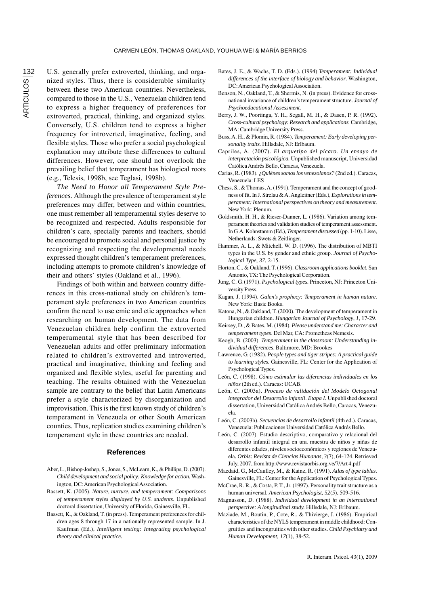U.S. generally prefer extroverted, thinking, and organized styles. Thus, there is considerable similarity between these two American countries. Nevertheless, compared to those in the U.S., Venezuelan children tend to express a higher frequency of preferences for extroverted, practical, thinking, and organized styles. Conversely, U.S. children tend to express a higher frequency for introverted, imaginative, feeling, and flexible styles. Those who prefer a social psychological explanation may attribute these differences to cultural differences. However, one should not overlook the prevailing belief that temperament has biological roots (e.g., Telesis, 1998b, see Teglasi, 1998b).

*The Need to Honor all Temperament Style Preferences.* Although the prevalence of temperament style preferences may differ, between and within countries, one must remember all temperamental styles deserve to be recognized and respected. Adults responsible for children's care, specially parents and teachers, should be encouraged to promote social and personal justice by recognizing and respecting the developmental needs expressed thought children's temperament preferences, including attempts to promote children's knowledge of their and others' styles (Oakland et al., 1996).

Findings of both within and between country differences in this cross-national study on children's temperament style preferences in two American countries confirm the need to use emic and etic approaches when researching on human development. The data from Venezuelan children help confirm the extroverted temperamental style that has been described for Venezuelan adults and offer preliminary information related to children's extroverted and introverted, practical and imaginative, thinking and feeling and organized and flexible styles, useful for parenting and teaching. The results obtained with the Venezuelan sample are contrary to the belief that Latin Americans prefer a style characterized by disorganization and improvisation. This is the first known study of children's temperament in Venezuela or other South American counties. Thus, replication studies examining children's temperament style in these countries are needed.

### **References**

- Aber, L., Bishop-Joshep, S., Jones, S., McLearn, K., & Phillips, D. (2007). *Child development and social policy: Knowledge for action.* Washington, DC: American Psychological Association.
- Bassett, K. (2005). *Nature, nurture, and temperament: Comparisons of temperament styles displayed by U.S. students*. Unpublished doctoral dissertation, University of Florida, Gainesville, FL.
- Bassett, K., & Oakland, T. (in press). Temperament preferences for children ages 8 through 17 in a nationally represented sample. In J. Kaufman (Ed.), *Intelligent testing: Integrating psychological theory and clinical practice.*
- Bates, J. E., & Wachs, T. D. (Eds.). (1994) *Temperament: Individual differences of the interface of biology and behavior*. Washington, DC: American Psychological Association.
- Benson, N., Oakland, T., & Shermis, N. (in press). Evidence for crossnational invariance of children's temperament structure. *Journal of Psychoeducational Assessment.*
- Berry, J. W., Poortinga, Y. H., Segall, M. H., & Dasen, P. R. (1992). *Cross-cultural psychology: Research and applications.* Cambridge, MA: Cambridge University Press.
- Buss, A. H., & Plomin, R. (1984). *Temperament: Early developing personality traits.* Hillsdale, NJ: Erlbaum.
- Capriles, A. (2007). *El arquetipo del pícaro. Un ensayo de interpretación psicológica.* Unpublished manuscript, Universidad Católica Andrés Bello, Caracas, Venezuela.
- Carias, R. (1983). *¿Quiénes somos los venezolanos?* (2nd ed.). Caracas, Venezuela: LES
- Chess, S., & Thomas, A. (1991). Temperament and the concept of goodness of fit. In J. Strelau & A. Angleitner (Eds.), *Explorations in temperament: International perspectives on theory and measurement.* New York: Plenum.
- Goldsmith, H. H., & Rieser-Danner, L. (1986). Variation among temperament theories and validation studies of temperament assessment. In G. A. Kohnstamm (Ed.), *Temperament discussed* (pp. 1-10). Lisse, Netherlands: Swets & Zeitlinger.
- Hammer, A. L., & Mitchell, W. D. (1996). The distribution of MBTI types in the U.S. by gender and ethnic group. *Journal of Psychological Type, 37*, 2-15.
- Horton, C., & Oakland, T. (1996). *Classroom applications booklet.* San Antonio, TX: The Psychological Corporation.
- Jung, C. G. (1971). *Psychological types.* Princeton, NJ: Princeton University Press.
- Kagan, J. (1994). *Galen's prophecy: Temperament in human nature*. New York: Basic Books.
- Katona, N., & Oakland, T. (2000). The development of temperament in Hungarian children. *Hungarian Journal of Psychology*, *1*, 17-29.
- Keirsey, D., & Bates, M. (1984). *Please understand me: Character and temperament types*. Del Mar, CA: Prometheas Nemesis.
- Keogh, B. (2003). *Temperament in the classroom: Understanding individual differences*. Baltimore, MD: Brookes
- Lawrence, G. (1982). *People types and tiger stripes: A practical guide to learning styles*. Gainesville, FL: Center for the Application of Psychological Types.
- León, C. (1998). *Cómo estimular las diferencias individuales en los niños* (2th ed.). Caracas: UCAB.
- León, C. (2003a). *Proceso de validación del Modelo Octogonal integrador del Desarrollo infantil*. *Etapa I.* Unpublished doctoral dissertation, Universidad Católica Andrés Bello, Caracas, Venezuela.
- León, C. (2003b). *Secuencias de desarrollo infantil* (4th ed.). Caracas, Venezuela: Publicaciones Universidad Católica Andrés Bello.
- León, C. (2007). Estudio descriptivo, comparativo y relacional del desarrollo infantil integral en una muestra de niños y niñas de diferentes edades, niveles socioeconómicos y regiones de Venezuela*. Orbis: Revista de Ciencias Humanas*, *3*(7), 64-124. Retrieved July, 2007, from http://www.revistaorbis.org.ve/7/Art 4.pdf
- Macdaid, G., McCaulley, M., & Kainz, R. (1991). *Atlas of type tables*. Gainesville, FL: Center for the Application of Psychological Types.
- McCrae, R. R., & Costa, P. T., Jr. (1997). Personality trait structure as a human universal. *American Psychologist, 52*(5), 509-516.
- Magnusson, D. (1988). *Individual development in an international perspective: A longitudinal study.* Hillsdale, NJ: Erlbaum.
- Maziade, M., Boutin, P., Cote, R., & Thivierge, J. (1986). Empirical characteristics of the NYLS temperament in middle childhood: Congruities and incongruities with other studies. *Child Psychiatry and Human Development, 17*(1), 38-52.

ARTICULOS<sup>132</sup> ARTICULOS